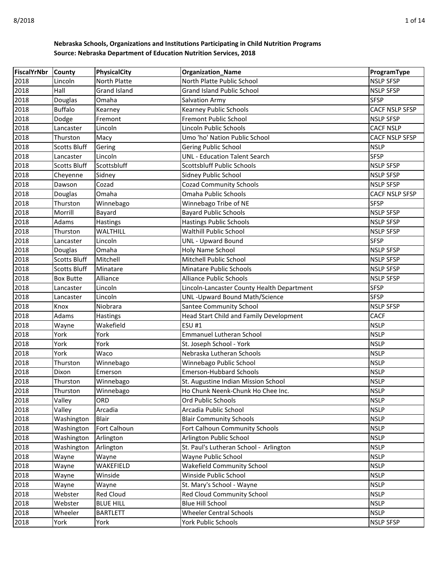| <b>FiscalYrNbr</b> | <b>County</b>       | PhysicalCity        | <b>Organization_Name</b>                   | ProgramType           |
|--------------------|---------------------|---------------------|--------------------------------------------|-----------------------|
| 2018               | Lincoln             | North Platte        | North Platte Public School                 | <b>NSLP SFSP</b>      |
| 2018               | Hall                | <b>Grand Island</b> | <b>Grand Island Public School</b>          | <b>NSLP SFSP</b>      |
| 2018               | Douglas             | Omaha               | <b>Salvation Army</b>                      | <b>SFSP</b>           |
| 2018               | <b>Buffalo</b>      | Kearney             | Kearney Public Schools                     | <b>CACF NSLP SFSP</b> |
| 2018               | Dodge               | Fremont             | Fremont Public School                      | <b>NSLP SFSP</b>      |
| 2018               | Lancaster           | Lincoln             | Lincoln Public Schools                     | <b>CACF NSLP</b>      |
| 2018               | Thurston            | Macy                | Umo 'ho' Nation Public School              | <b>CACF NSLP SFSP</b> |
| 2018               | <b>Scotts Bluff</b> | Gering              | Gering Public School                       | <b>NSLP</b>           |
| 2018               | Lancaster           | Lincoln             | <b>UNL - Education Talent Search</b>       | <b>SFSP</b>           |
| 2018               | <b>Scotts Bluff</b> | Scottsbluff         | <b>Scottsbluff Public Schools</b>          | <b>NSLP SFSP</b>      |
| 2018               | Cheyenne            | Sidney              | Sidney Public School                       | <b>NSLP SFSP</b>      |
| 2018               | Dawson              | Cozad               | <b>Cozad Community Schools</b>             | <b>NSLP SFSP</b>      |
| 2018               | Douglas             | Omaha               | Omaha Public Schools                       | <b>CACF NSLP SFSP</b> |
| 2018               | Thurston            | Winnebago           | Winnebago Tribe of NE                      | <b>SFSP</b>           |
| 2018               | Morrill             | Bayard              | <b>Bayard Public Schools</b>               | <b>NSLP SFSP</b>      |
| 2018               | Adams               | <b>Hastings</b>     | <b>Hastings Public Schools</b>             | <b>NSLP SFSP</b>      |
| 2018               | Thurston            | WALTHILL            | <b>Walthill Public School</b>              | <b>NSLP SFSP</b>      |
| 2018               | Lancaster           | Lincoln             | <b>UNL - Upward Bound</b>                  | <b>SFSP</b>           |
| 2018               | Douglas             | Omaha               | Holy Name School                           | <b>NSLP SFSP</b>      |
| 2018               | <b>Scotts Bluff</b> | Mitchell            | Mitchell Public School                     | <b>NSLP SFSP</b>      |
| 2018               | <b>Scotts Bluff</b> | Minatare            | <b>Minatare Public Schools</b>             | <b>NSLP SFSP</b>      |
| 2018               | <b>Box Butte</b>    | Alliance            | <b>Alliance Public Schools</b>             | <b>NSLP SFSP</b>      |
| 2018               | Lancaster           | Lincoln             | Lincoln-Lancaster County Health Department | <b>SFSP</b>           |
| 2018               | Lancaster           | Lincoln             | UNL-Upward Bound Math/Science              | <b>SFSP</b>           |
| 2018               | Knox                | Niobrara            | <b>Santee Community School</b>             | <b>NSLP SFSP</b>      |
| 2018               | Adams               | <b>Hastings</b>     | Head Start Child and Family Development    | <b>CACF</b>           |
| 2018               | Wayne               | Wakefield           | <b>ESU #1</b>                              | <b>NSLP</b>           |
| 2018               | York                | York                | Emmanuel Lutheran School                   | <b>NSLP</b>           |
| 2018               | York                | York                | St. Joseph School - York                   | <b>NSLP</b>           |
| 2018               | York                | Waco                | Nebraska Lutheran Schools                  | <b>NSLP</b>           |
| 2018               | Thurston            | Winnebago           | Winnebago Public School                    | <b>NSLP</b>           |
| 2018               | Dixon               | Emerson             | <b>Emerson-Hubbard Schools</b>             | <b>NSLP</b>           |
| 2018               | Thurston            | Winnebago           | St. Augustine Indian Mission School        | <b>NSLP</b>           |
| 2018               | Thurston            | Winnebago           | Ho Chunk Neenk-Chunk Ho Chee Inc.          | <b>NSLP</b>           |
| 2018               | Valley              | ORD                 | Ord Public Schools                         | <b>NSLP</b>           |
| 2018               | Valley              | Arcadia             | Arcadia Public School                      | <b>NSLP</b>           |
| 2018               | Washington          | Blair               | <b>Blair Community Schools</b>             | <b>NSLP</b>           |
| 2018               | Washington          | Fort Calhoun        | Fort Calhoun Community Schools             | <b>NSLP</b>           |
| 2018               | Washington          | Arlington           | Arlington Public School                    | <b>NSLP</b>           |
| 2018               | Washington          | Arlington           | St. Paul's Lutheran School - Arlington     | <b>NSLP</b>           |
| 2018               | Wayne               | Wayne               | Wayne Public School                        | <b>NSLP</b>           |
| 2018               | Wayne               | WAKEFIELD           | <b>Wakefield Community School</b>          | <b>NSLP</b>           |
| 2018               | Wayne               | Winside             | Winside Public School                      | <b>NSLP</b>           |
| 2018               | Wayne               | Wayne               | St. Mary's School - Wayne                  | <b>NSLP</b>           |
| 2018               | Webster             | <b>Red Cloud</b>    | Red Cloud Community School                 | <b>NSLP</b>           |
| 2018               | Webster             | <b>BLUE HILL</b>    | <b>Blue Hill School</b>                    | <b>NSLP</b>           |
| 2018               | Wheeler             | <b>BARTLETT</b>     | <b>Wheeler Central Schools</b>             | <b>NSLP</b>           |
| 2018               | York                | York                | York Public Schools                        | <b>NSLP SFSP</b>      |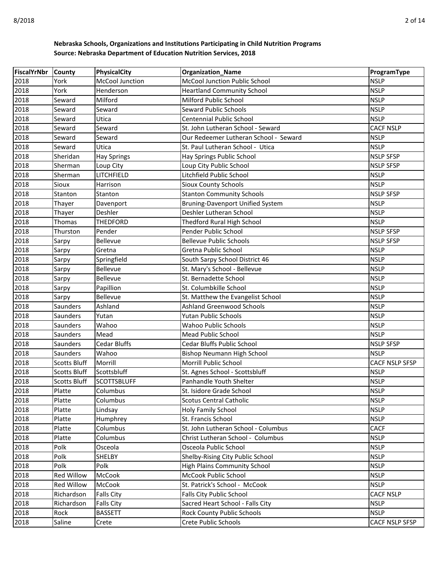| FiscalYrNbr County |                     | PhysicalCity           | <b>Organization_Name</b>              | ProgramType      |
|--------------------|---------------------|------------------------|---------------------------------------|------------------|
| 2018               | York                | <b>McCool Junction</b> | <b>McCool Junction Public School</b>  | <b>NSLP</b>      |
| 2018               | York                | Henderson              | <b>Heartland Community School</b>     | <b>NSLP</b>      |
| 2018               | Seward              | Milford                | Milford Public School                 | <b>NSLP</b>      |
| 2018               | Seward              | Seward                 | <b>Seward Public Schools</b>          | <b>NSLP</b>      |
| 2018               | Seward              | Utica                  | <b>Centennial Public School</b>       | <b>NSLP</b>      |
| 2018               | Seward              | Seward                 | St. John Lutheran School - Seward     | <b>CACF NSLP</b> |
| 2018               | Seward              | Seward                 | Our Redeemer Lutheran School - Seward | <b>NSLP</b>      |
| 2018               | Seward              | Utica                  | St. Paul Lutheran School - Utica      | <b>NSLP</b>      |
| 2018               | Sheridan            | <b>Hay Springs</b>     | Hay Springs Public School             | <b>NSLP SFSP</b> |
| 2018               | Sherman             | Loup City              | Loup City Public School               | <b>NSLP SFSP</b> |
| 2018               | Sherman             | LITCHFIELD             | Litchfield Public School              | <b>NSLP</b>      |
| 2018               | Sioux               | Harrison               | <b>Sioux County Schools</b>           | <b>NSLP</b>      |
| 2018               | Stanton             | Stanton                | <b>Stanton Community Schools</b>      | <b>NSLP SFSP</b> |
| 2018               | Thayer              | Davenport              | Bruning-Davenport Unified System      | <b>NSLP</b>      |
| 2018               | Thayer              | Deshler                | Deshler Lutheran School               | <b>NSLP</b>      |
| 2018               | Thomas              | <b>THEDFORD</b>        | Thedford Rural High School            | <b>NSLP</b>      |
| 2018               | Thurston            | Pender                 | Pender Public School                  | <b>NSLP SFSP</b> |
| 2018               | Sarpy               | Bellevue               | <b>Bellevue Public Schools</b>        | <b>NSLP SFSP</b> |
| 2018               | Sarpy               | Gretna                 | Gretna Public School                  | <b>NSLP</b>      |
| 2018               | Sarpy               | Springfield            | South Sarpy School District 46        | <b>NSLP</b>      |
| 2018               | Sarpy               | Bellevue               | St. Mary's School - Bellevue          | <b>NSLP</b>      |
| 2018               | Sarpy               | Bellevue               | St. Bernadette School                 | <b>NSLP</b>      |
| 2018               | Sarpy               | Papillion              | St. Columbkille School                | <b>NSLP</b>      |
| 2018               | Sarpy               | Bellevue               | St. Matthew the Evangelist School     | <b>NSLP</b>      |
| 2018               | Saunders            | Ashland                | <b>Ashland Greenwood Schools</b>      | <b>NSLP</b>      |
| 2018               | Saunders            | Yutan                  | <b>Yutan Public Schools</b>           | <b>NSLP</b>      |
| 2018               | Saunders            | Wahoo                  | <b>Wahoo Public Schools</b>           | <b>NSLP</b>      |
| 2018               | Saunders            | Mead                   | Mead Public School                    | <b>NSLP</b>      |
| 2018               | Saunders            | <b>Cedar Bluffs</b>    | Cedar Bluffs Public School            | <b>NSLP SFSP</b> |
| 2018               | Saunders            | Wahoo                  | Bishop Neumann High School            | <b>NSLP</b>      |
| 2018               | <b>Scotts Bluff</b> | Morrill                | Morrill Public School                 | CACF NSLP SFSP   |
| 2018               | <b>Scotts Bluff</b> | Scottsbluff            | St. Agnes School - Scottsbluff        | <b>NSLP</b>      |
| 2018               | <b>Scotts Bluff</b> | <b>SCOTTSBLUFF</b>     | Panhandle Youth Shelter               | <b>NSLP</b>      |
| 2018               | Platte              | Columbus               | St. Isidore Grade School              | <b>NSLP</b>      |
| 2018               | Platte              | Columbus               | <b>Scotus Central Catholic</b>        | <b>NSLP</b>      |
| 2018               | Platte              | Lindsay                | Holy Family School                    | <b>NSLP</b>      |
| 2018               | Platte              | Humphrey               | St. Francis School                    | <b>NSLP</b>      |
| 2018               | Platte              | Columbus               | St. John Lutheran School - Columbus   | <b>CACF</b>      |
| 2018               | Platte              | Columbus               | Christ Lutheran School - Columbus     | <b>NSLP</b>      |
| 2018               | Polk                | Osceola                | Osceola Public School                 | <b>NSLP</b>      |
| 2018               | Polk                | SHELBY                 | Shelby-Rising City Public School      | <b>NSLP</b>      |
| 2018               | Polk                | Polk                   | <b>High Plains Community School</b>   | <b>NSLP</b>      |
| 2018               | Red Willow          | McCook                 | McCook Public School                  | <b>NSLP</b>      |
| 2018               | Red Willow          | McCook                 | St. Patrick's School - McCook         | <b>NSLP</b>      |
| 2018               | Richardson          | <b>Falls City</b>      | <b>Falls City Public School</b>       | <b>CACF NSLP</b> |
| 2018               | Richardson          | <b>Falls City</b>      | Sacred Heart School - Falls City      | <b>NSLP</b>      |
| 2018               | Rock                | <b>BASSETT</b>         | <b>Rock County Public Schools</b>     | <b>NSLP</b>      |
| 2018               | Saline              | Crete                  | <b>Crete Public Schools</b>           | CACF NSLP SFSP   |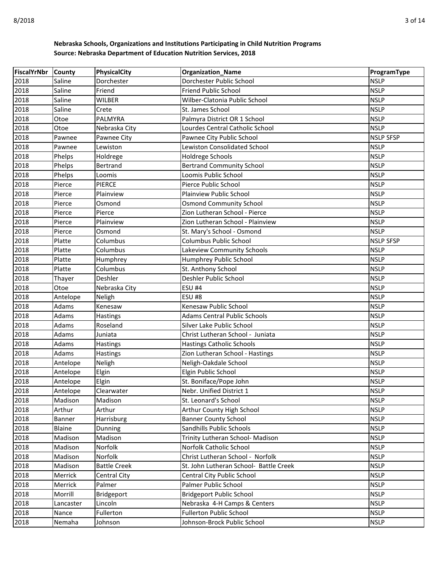| FiscalYrNbr County |               | PhysicalCity        | <b>Organization_Name</b>               | ProgramType      |
|--------------------|---------------|---------------------|----------------------------------------|------------------|
| 2018               | Saline        | Dorchester          | Dorchester Public School               | <b>NSLP</b>      |
| 2018               | Saline        | Friend              | <b>Friend Public School</b>            | <b>NSLP</b>      |
| 2018               | Saline        | <b>WILBER</b>       | Wilber-Clatonia Public School          | <b>NSLP</b>      |
| 2018               | Saline        | Crete               | St. James School                       | <b>NSLP</b>      |
| 2018               | Otoe          | <b>PALMYRA</b>      | Palmyra District OR 1 School           | <b>NSLP</b>      |
| 2018               | Otoe          | Nebraska City       | Lourdes Central Catholic School        | <b>NSLP</b>      |
| 2018               | Pawnee        | Pawnee City         | Pawnee City Public School              | <b>NSLP SFSP</b> |
| 2018               | Pawnee        | Lewiston            | Lewiston Consolidated School           | <b>NSLP</b>      |
| 2018               | Phelps        | Holdrege            | Holdrege Schools                       | <b>NSLP</b>      |
| 2018               | Phelps        | Bertrand            | <b>Bertrand Community School</b>       | <b>NSLP</b>      |
| 2018               | Phelps        | Loomis              | Loomis Public School                   | <b>NSLP</b>      |
| 2018               | Pierce        | <b>PIERCE</b>       | Pierce Public School                   | <b>NSLP</b>      |
| 2018               | Pierce        | Plainview           | Plainview Public School                | <b>NSLP</b>      |
| 2018               | Pierce        | Osmond              | <b>Osmond Community School</b>         | <b>NSLP</b>      |
| 2018               | Pierce        | Pierce              | Zion Lutheran School - Pierce          | <b>NSLP</b>      |
| 2018               | Pierce        | Plainview           | Zion Lutheran School - Plainview       | <b>NSLP</b>      |
| 2018               | Pierce        | Osmond              | St. Mary's School - Osmond             | <b>NSLP</b>      |
| 2018               | Platte        | Columbus            | Columbus Public School                 | <b>NSLP SFSP</b> |
| 2018               | Platte        | Columbus            | Lakeview Community Schools             | <b>NSLP</b>      |
| 2018               | Platte        | Humphrey            | Humphrey Public School                 | <b>NSLP</b>      |
| 2018               | Platte        | Columbus            | St. Anthony School                     | <b>NSLP</b>      |
| 2018               | Thayer        | Deshler             | Deshler Public School                  | <b>NSLP</b>      |
| 2018               | Otoe          | Nebraska City       | <b>ESU #4</b>                          | <b>NSLP</b>      |
| 2018               | Antelope      | Neligh              | <b>ESU #8</b>                          | <b>NSLP</b>      |
| 2018               | Adams         | Kenesaw             | Kenesaw Public School                  | <b>NSLP</b>      |
| 2018               | Adams         | Hastings            | <b>Adams Central Public Schools</b>    | <b>NSLP</b>      |
| 2018               | Adams         | Roseland            | Silver Lake Public School              | <b>NSLP</b>      |
| 2018               | Adams         | Juniata             | Christ Lutheran School - Juniata       | <b>NSLP</b>      |
| 2018               | Adams         | <b>Hastings</b>     | <b>Hastings Catholic Schools</b>       | <b>NSLP</b>      |
| 2018               | Adams         | Hastings            | Zion Lutheran School - Hastings        | <b>NSLP</b>      |
| 2018               | Antelope      | Neligh              | Neligh-Oakdale School                  | <b>NSLP</b>      |
| 2018               | Antelope      | Elgin               | Elgin Public School                    | <b>NSLP</b>      |
| 2018               | Antelope      | Elgin               | St. Boniface/Pope John                 | <b>NSLP</b>      |
| 2018               | Antelope      | Clearwater          | Nebr. Unified District 1               | <b>NSLP</b>      |
| 2018               | Madison       | Madison             | St. Leonard's School                   | <b>NSLP</b>      |
| 2018               | Arthur        | Arthur              | Arthur County High School              | <b>NSLP</b>      |
| 2018               | Banner        | Harrisburg          | <b>Banner County School</b>            | <b>NSLP</b>      |
| 2018               | <b>Blaine</b> | Dunning             | Sandhills Public Schools               | <b>NSLP</b>      |
| 2018               | Madison       | Madison             | Trinity Lutheran School- Madison       | <b>NSLP</b>      |
| 2018               | Madison       | Norfolk             | Norfolk Catholic School                | <b>NSLP</b>      |
| 2018               | Madison       | Norfolk             | Christ Lutheran School - Norfolk       | <b>NSLP</b>      |
| 2018               | Madison       | <b>Battle Creek</b> | St. John Lutheran School- Battle Creek | <b>NSLP</b>      |
| 2018               | Merrick       | <b>Central City</b> | Central City Public School             | <b>NSLP</b>      |
| 2018               | Merrick       | Palmer              | Palmer Public School                   | <b>NSLP</b>      |
| 2018               | Morrill       | Bridgeport          | <b>Bridgeport Public School</b>        | <b>NSLP</b>      |
| 2018               | Lancaster     | Lincoln             | Nebraska 4-H Camps & Centers           | <b>NSLP</b>      |
| 2018               | Nance         | Fullerton           | <b>Fullerton Public School</b>         | <b>NSLP</b>      |
| 2018               | Nemaha        | Johnson             | Johnson-Brock Public School            | <b>NSLP</b>      |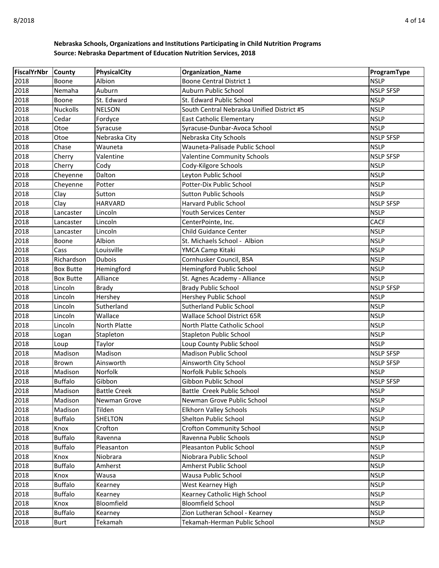| FiscalYrNbr County |                        | PhysicalCity          | <b>Organization_Name</b>                           | ProgramType                |
|--------------------|------------------------|-----------------------|----------------------------------------------------|----------------------------|
| 2018               | Boone                  | Albion                | Boone Central District 1                           | <b>NSLP</b>                |
| 2018               | Nemaha                 | Auburn                | Auburn Public School                               | <b>NSLP SFSP</b>           |
| 2018               | Boone                  | St. Edward            | St. Edward Public School                           | <b>NSLP</b>                |
| 2018               | <b>Nuckolls</b>        | <b>NELSON</b>         | South Central Nebraska Unified District #5         | <b>NSLP</b>                |
| 2018               | Cedar                  | Fordyce               | <b>East Catholic Elementary</b>                    | <b>NSLP</b>                |
| 2018               | Otoe                   | Syracuse              | Syracuse-Dunbar-Avoca School                       | <b>NSLP</b>                |
| 2018               | Otoe                   | Nebraska City         | Nebraska City Schools                              | <b>NSLP SFSP</b>           |
| 2018               | Chase                  | Wauneta               | Wauneta-Palisade Public School                     | <b>NSLP</b>                |
| 2018               | Cherry                 | Valentine             | <b>Valentine Community Schools</b>                 | <b>NSLP SFSP</b>           |
| 2018               | Cherry                 | Cody                  | Cody-Kilgore Schools                               | <b>NSLP</b>                |
| 2018               | Cheyenne               | Dalton                | Leyton Public School                               | <b>NSLP</b>                |
| 2018               | Cheyenne               | Potter                | Potter-Dix Public School                           | <b>NSLP</b>                |
| 2018               | Clay                   | Sutton                | <b>Sutton Public Schools</b>                       | <b>NSLP</b>                |
| 2018               | Clay                   | <b>HARVARD</b>        | Harvard Public School                              | <b>NSLP SFSP</b>           |
| 2018               | Lancaster              | Lincoln               | Youth Services Center                              | <b>NSLP</b>                |
| 2018               | Lancaster              | Lincoln               | CenterPointe, Inc.                                 | <b>CACF</b>                |
| 2018               | Lancaster              | Lincoln               | <b>Child Guidance Center</b>                       | <b>NSLP</b>                |
| 2018               | Boone                  | Albion                | St. Michaels School - Albion                       | <b>NSLP</b>                |
| 2018               | Cass                   | Louisville            | YMCA Camp Kitaki                                   | <b>NSLP</b>                |
| 2018               | Richardson             | <b>Dubois</b>         | Cornhusker Council, BSA                            | <b>NSLP</b>                |
| 2018               | <b>Box Butte</b>       | Hemingford            | <b>Hemingford Public School</b>                    | <b>NSLP</b>                |
| 2018               | <b>Box Butte</b>       | Alliance              | St. Agnes Academy - Alliance                       | <b>NSLP</b>                |
| 2018               | Lincoln                | <b>Brady</b>          | <b>Brady Public School</b>                         | <b>NSLP SFSP</b>           |
| 2018               | Lincoln                | Hershey               | Hershey Public School                              | <b>NSLP</b>                |
| 2018               | Lincoln                | Sutherland            | <b>Sutherland Public School</b>                    | <b>NSLP</b>                |
| 2018               | Lincoln                | Wallace               | <b>Wallace School District 65R</b>                 | <b>NSLP</b>                |
| 2018               | Lincoln                | North Platte          | North Platte Catholic School                       | <b>NSLP</b>                |
| 2018               | Logan                  | Stapleton             | <b>Stapleton Public School</b>                     | <b>NSLP</b>                |
| 2018               | Loup                   | Taylor                | Loup County Public School                          | <b>NSLP</b>                |
| 2018               | Madison                | Madison               | <b>Madison Public School</b>                       | <b>NSLP SFSP</b>           |
| 2018               | <b>Brown</b>           | Ainsworth             | Ainsworth City School                              | <b>NSLP SFSP</b>           |
| 2018               | Madison                | Norfolk               | Norfolk Public Schools                             | <b>NSLP</b>                |
| 2018               | <b>Buffalo</b>         | Gibbon                | Gibbon Public School                               | <b>NSLP SFSP</b>           |
| 2018               | Madison                | <b>Battle Creek</b>   | Battle Creek Public School                         | <b>NSLP</b>                |
| 2018               | Madison                | Newman Grove          | Newman Grove Public School                         | <b>NSLP</b>                |
| 2018               | Madison                | Tilden                | <b>Elkhorn Valley Schools</b>                      | <b>NSLP</b>                |
| 2018               | <b>Buffalo</b>         | <b>SHELTON</b>        | Shelton Public School                              | <b>NSLP</b>                |
| 2018               | Knox                   | Crofton               | <b>Crofton Community School</b>                    | <b>NSLP</b>                |
| 2018               | <b>Buffalo</b>         | Ravenna               | Ravenna Public Schools<br>Pleasanton Public School | <b>NSLP</b><br><b>NSLP</b> |
| 2018               | <b>Buffalo</b>         | Pleasanton            | Niobrara Public School                             | <b>NSLP</b>                |
| 2018<br>2018       | Knox<br><b>Buffalo</b> | Niobrara<br>Amherst   | Amherst Public School                              | <b>NSLP</b>                |
| 2018               |                        | Wausa                 |                                                    | <b>NSLP</b>                |
| 2018               | Knox<br><b>Buffalo</b> |                       | Wausa Public School<br>West Kearney High           | <b>NSLP</b>                |
| 2018               | <b>Buffalo</b>         | Kearney               | Kearney Catholic High School                       | <b>NSLP</b>                |
| 2018               | Knox                   | Kearney<br>Bloomfield | <b>Bloomfield School</b>                           | <b>NSLP</b>                |
| 2018               | <b>Buffalo</b>         | Kearney               | Zion Lutheran School - Kearney                     | <b>NSLP</b>                |
| 2018               | <b>Burt</b>            | Tekamah               | Tekamah-Herman Public School                       | <b>NSLP</b>                |
|                    |                        |                       |                                                    |                            |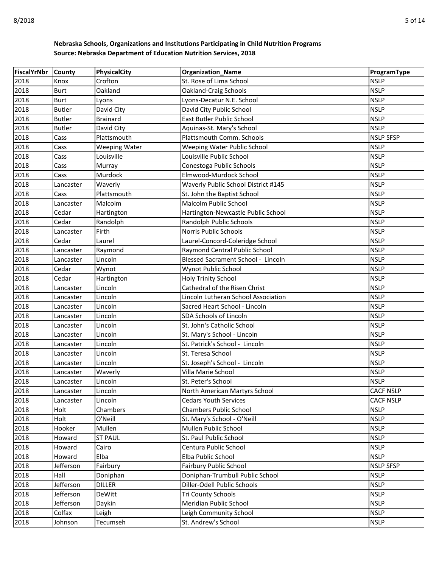| <b>FiscalYrNbr</b> | <b>County</b> | PhysicalCity         | <b>Organization_Name</b>            | ProgramType      |
|--------------------|---------------|----------------------|-------------------------------------|------------------|
| 2018               | Knox          | Crofton              | St. Rose of Lima School             | <b>NSLP</b>      |
| 2018               | <b>Burt</b>   | Oakland              | Oakland-Craig Schools               | <b>NSLP</b>      |
| 2018               | <b>Burt</b>   | Lyons                | Lyons-Decatur N.E. School           | <b>NSLP</b>      |
| 2018               | <b>Butler</b> | David City           | David City Public School            | <b>NSLP</b>      |
| 2018               | <b>Butler</b> | <b>Brainard</b>      | East Butler Public School           | <b>NSLP</b>      |
| 2018               | <b>Butler</b> | David City           | Aquinas-St. Mary's School           | <b>NSLP</b>      |
| 2018               | Cass          | Plattsmouth          | Plattsmouth Comm. Schools           | <b>NSLP SFSP</b> |
| 2018               | Cass          | <b>Weeping Water</b> | Weeping Water Public School         | <b>NSLP</b>      |
| 2018               | Cass          | Louisville           | Louisville Public School            | <b>NSLP</b>      |
| 2018               | Cass          | Murray               | Conestoga Public Schools            | <b>NSLP</b>      |
| 2018               | Cass          | Murdock              | Elmwood-Murdock School              | <b>NSLP</b>      |
| 2018               | Lancaster     | Waverly              | Waverly Public School District #145 | <b>NSLP</b>      |
| 2018               | Cass          | Plattsmouth          | St. John the Baptist School         | <b>NSLP</b>      |
| 2018               | Lancaster     | Malcolm              | Malcolm Public School               | <b>NSLP</b>      |
| 2018               | Cedar         | Hartington           | Hartington-Newcastle Public School  | <b>NSLP</b>      |
| 2018               | Cedar         | Randolph             | Randolph Public Schools             | <b>NSLP</b>      |
| 2018               | Lancaster     | Firth                | <b>Norris Public Schools</b>        | <b>NSLP</b>      |
| 2018               | Cedar         | Laurel               | Laurel-Concord-Coleridge School     | <b>NSLP</b>      |
| 2018               | Lancaster     | Raymond              | Raymond Central Public School       | <b>NSLP</b>      |
| 2018               | Lancaster     | Lincoln              | Blessed Sacrament School - Lincoln  | <b>NSLP</b>      |
| 2018               | Cedar         | Wynot                | Wynot Public School                 | <b>NSLP</b>      |
| 2018               | Cedar         | Hartington           | <b>Holy Trinity School</b>          | <b>NSLP</b>      |
| 2018               | Lancaster     | Lincoln              | Cathedral of the Risen Christ       | <b>NSLP</b>      |
| 2018               | Lancaster     | Lincoln              | Lincoln Lutheran School Association | <b>NSLP</b>      |
| 2018               | Lancaster     | Lincoln              | Sacred Heart School - Lincoln       | <b>NSLP</b>      |
| 2018               | Lancaster     | Lincoln              | <b>SDA Schools of Lincoln</b>       | <b>NSLP</b>      |
| 2018               | Lancaster     | Lincoln              | St. John's Catholic School          | <b>NSLP</b>      |
| 2018               | Lancaster     | Lincoln              | St. Mary's School - Lincoln         | <b>NSLP</b>      |
| 2018               | Lancaster     | Lincoln              | St. Patrick's School - Lincoln      | <b>NSLP</b>      |
| 2018               | Lancaster     | Lincoln              | St. Teresa School                   | <b>NSLP</b>      |
| 2018               | Lancaster     | Lincoln              | St. Joseph's School - Lincoln       | <b>NSLP</b>      |
| 2018               | Lancaster     | Waverly              | Villa Marie School                  | <b>NSLP</b>      |
| 2018               | Lancaster     | Lincoln              | St. Peter's School                  | <b>NSLP</b>      |
| 2018               | Lancaster     | Lincoln              | North American Martyrs School       | <b>CACF NSLP</b> |
| 2018               | Lancaster     | Lincoln              | <b>Cedars Youth Services</b>        | <b>CACF NSLP</b> |
| 2018               | Holt          | Chambers             | <b>Chambers Public School</b>       | <b>NSLP</b>      |
| 2018               | Holt          | O'Neill              | St. Mary's School - O'Neill         | <b>NSLP</b>      |
| 2018               | Hooker        | Mullen               | Mullen Public School                | <b>NSLP</b>      |
| 2018               | Howard        | <b>ST PAUL</b>       | St. Paul Public School              | <b>NSLP</b>      |
| 2018               | Howard        | Cairo                | Centura Public School               | <b>NSLP</b>      |
| 2018               | Howard        | Elba                 | Elba Public School                  | <b>NSLP</b>      |
| 2018               | Jefferson     | Fairbury             | <b>Fairbury Public School</b>       | <b>NSLP SFSP</b> |
| 2018               | Hall          | Doniphan             | Doniphan-Trumbull Public School     | <b>NSLP</b>      |
| 2018               | Jefferson     | <b>DILLER</b>        | Diller-Odell Public Schools         | <b>NSLP</b>      |
| 2018               | Jefferson     | DeWitt               | Tri County Schools                  | <b>NSLP</b>      |
| 2018               | Jefferson     | Daykin               | Meridian Public School              | <b>NSLP</b>      |
| 2018               | Colfax        | Leigh                | Leigh Community School              | <b>NSLP</b>      |
| 2018               | Johnson       | Tecumseh             | St. Andrew's School                 | <b>NSLP</b>      |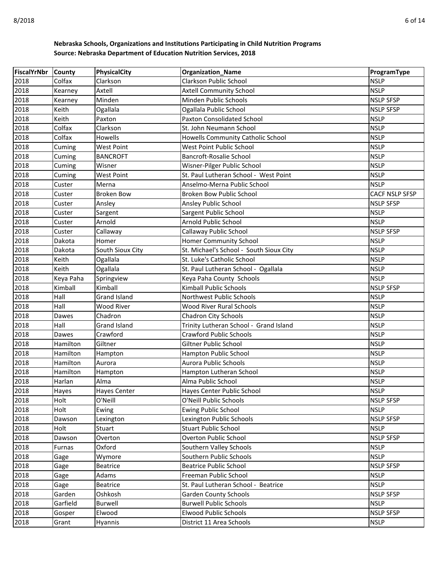| FiscalYrNbr County |           | <b>PhysicalCity</b> | <b>Organization_Name</b>                | ProgramType           |
|--------------------|-----------|---------------------|-----------------------------------------|-----------------------|
| 2018               | Colfax    | Clarkson            | Clarkson Public School                  | <b>NSLP</b>           |
| 2018               | Kearney   | Axtell              | <b>Axtell Community School</b>          | <b>NSLP</b>           |
| 2018               | Kearney   | Minden              | Minden Public Schools                   | <b>NSLP SFSP</b>      |
| 2018               | Keith     | Ogallala            | Ogallala Public School                  | <b>NSLP SFSP</b>      |
| 2018               | Keith     | Paxton              | <b>Paxton Consolidated School</b>       | <b>NSLP</b>           |
| 2018               | Colfax    | Clarkson            | St. John Neumann School                 | <b>NSLP</b>           |
| 2018               | Colfax    | Howells             | Howells Community Catholic School       | <b>NSLP</b>           |
| 2018               | Cuming    | <b>West Point</b>   | West Point Public School                | <b>NSLP</b>           |
| 2018               | Cuming    | <b>BANCROFT</b>     | <b>Bancroft-Rosalie School</b>          | <b>NSLP</b>           |
| 2018               | Cuming    | Wisner              | Wisner-Pilger Public School             | <b>NSLP</b>           |
| 2018               | Cuming    | <b>West Point</b>   | St. Paul Lutheran School - West Point   | <b>NSLP</b>           |
| 2018               | Custer    | Merna               | Anselmo-Merna Public School             | <b>NSLP</b>           |
| 2018               | Custer    | <b>Broken Bow</b>   | Broken Bow Public School                | <b>CACF NSLP SFSP</b> |
| 2018               | Custer    | Ansley              | Ansley Public School                    | <b>NSLP SFSP</b>      |
| 2018               | Custer    | Sargent             | Sargent Public School                   | <b>NSLP</b>           |
| 2018               | Custer    | Arnold              | Arnold Public School                    | <b>NSLP</b>           |
| 2018               | Custer    | Callaway            | Callaway Public School                  | <b>NSLP SFSP</b>      |
| 2018               | Dakota    | Homer               | Homer Community School                  | <b>NSLP</b>           |
| 2018               | Dakota    | South Sioux City    | St. Michael's School - South Sioux City | <b>NSLP</b>           |
| 2018               | Keith     | Ogallala            | St. Luke's Catholic School              | <b>NSLP</b>           |
| 2018               | Keith     | Ogallala            | St. Paul Lutheran School - Ogallala     | <b>NSLP</b>           |
| 2018               | Keya Paha | Springview          | Keya Paha County Schools                | <b>NSLP</b>           |
| 2018               | Kimball   | Kimball             | Kimball Public Schools                  | <b>NSLP SFSP</b>      |
| 2018               | Hall      | <b>Grand Island</b> | Northwest Public Schools                | <b>NSLP</b>           |
| 2018               | Hall      | Wood River          | <b>Wood River Rural Schools</b>         | <b>NSLP</b>           |
| 2018               | Dawes     | Chadron             | <b>Chadron City Schools</b>             | <b>NSLP</b>           |
| 2018               | Hall      | Grand Island        | Trinity Lutheran School - Grand Island  | <b>NSLP</b>           |
| 2018               | Dawes     | Crawford            | <b>Crawford Public Schools</b>          | <b>NSLP</b>           |
| 2018               | Hamilton  | Giltner             | Giltner Public School                   | <b>NSLP</b>           |
| 2018               | Hamilton  | Hampton             | <b>Hampton Public School</b>            | <b>NSLP</b>           |
| 2018               | Hamilton  | Aurora              | Aurora Public Schools                   | <b>NSLP</b>           |
| 2018               | Hamilton  | Hampton             | Hampton Lutheran School                 | <b>NSLP</b>           |
| 2018               | Harlan    | Alma                | Alma Public School                      | <b>NSLP</b>           |
| 2018               | Hayes     | <b>Hayes Center</b> | Hayes Center Public School              | <b>NSLP</b>           |
| 2018               | Holt      | O'Neill             | O'Neill Public Schools                  | <b>NSLP SFSP</b>      |
| 2018               | Holt      | Ewing               | <b>Ewing Public School</b>              | <b>NSLP</b>           |
| 2018               | Dawson    | Lexington           | Lexington Public Schools                | <b>NSLP SFSP</b>      |
| 2018               | Holt      | Stuart              | <b>Stuart Public School</b>             | <b>NSLP</b>           |
| 2018               | Dawson    | Overton             | Overton Public School                   | <b>NSLP SFSP</b>      |
| 2018               | Furnas    | Oxford              | Southern Valley Schools                 | <b>NSLP</b>           |
| 2018               | Gage      | Wymore              | Southern Public Schools                 | <b>NSLP</b>           |
| 2018               | Gage      | <b>Beatrice</b>     | <b>Beatrice Public School</b>           | <b>NSLP SFSP</b>      |
| 2018               | Gage      | Adams               | Freeman Public School                   | <b>NSLP</b>           |
| 2018               | Gage      | <b>Beatrice</b>     | St. Paul Lutheran School - Beatrice     | <b>NSLP</b>           |
| 2018               | Garden    | Oshkosh             | <b>Garden County Schools</b>            | <b>NSLP SFSP</b>      |
| 2018               | Garfield  | Burwell             | <b>Burwell Public Schools</b>           | <b>NSLP</b>           |
| 2018               | Gosper    | Elwood              | <b>Elwood Public Schools</b>            | <b>NSLP SFSP</b>      |
| 2018               | Grant     | Hyannis             | District 11 Area Schools                | <b>NSLP</b>           |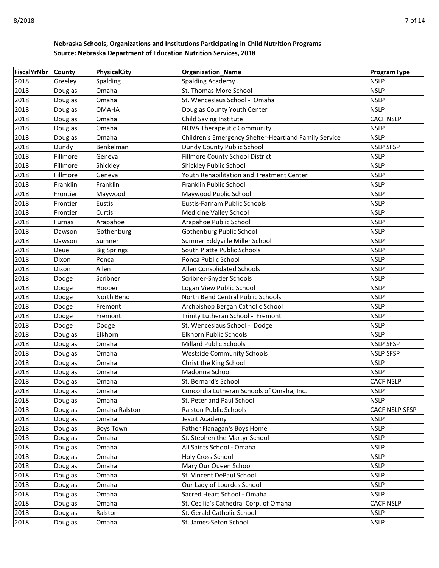| FiscalYrNbr  | <b>County</b>      | <b>PhysicalCity</b>    | <b>Organization_Name</b>                                   | ProgramType                   |
|--------------|--------------------|------------------------|------------------------------------------------------------|-------------------------------|
| 2018         | Greeley            | Spalding               | <b>Spalding Academy</b>                                    | <b>NSLP</b>                   |
| 2018         | Douglas            | Omaha                  | St. Thomas More School                                     | <b>NSLP</b>                   |
| 2018         | Douglas            | Omaha                  | St. Wenceslaus School - Omaha                              | <b>NSLP</b>                   |
| 2018         | Douglas            | <b>OMAHA</b>           | Douglas County Youth Center                                | <b>NSLP</b>                   |
| 2018         | Douglas            | Omaha                  | Child Saving Institute                                     | <b>CACF NSLP</b>              |
| 2018         | Douglas            | Omaha                  | <b>NOVA Therapeutic Community</b>                          | <b>NSLP</b>                   |
| 2018         | Douglas            | Omaha                  | Children's Emergency Shelter-Heartland Family Service      | <b>NSLP</b>                   |
| 2018         | Dundy              | Benkelman              | Dundy County Public School                                 | <b>NSLP SFSP</b>              |
| 2018         | Fillmore           | Geneva                 | Fillmore County School District                            | <b>NSLP</b>                   |
| 2018         | Fillmore           | Shickley               | Shickley Public School                                     | <b>NSLP</b>                   |
| 2018         | Fillmore           | Geneva                 | Youth Rehabilitation and Treatment Center                  | <b>NSLP</b>                   |
| 2018         | Franklin           | Franklin               | Franklin Public School                                     | <b>NSLP</b>                   |
| 2018         | Frontier           | Maywood                | Maywood Public School                                      | <b>NSLP</b>                   |
| 2018         | Frontier           | <b>Eustis</b>          | <b>Eustis-Farnam Public Schools</b>                        | <b>NSLP</b>                   |
| 2018         | Frontier           | Curtis                 | <b>Medicine Valley School</b>                              | <b>NSLP</b>                   |
| 2018         | Furnas             | Arapahoe               | Arapahoe Public School                                     | <b>NSLP</b>                   |
| 2018         | Dawson             | Gothenburg             | Gothenburg Public School                                   | <b>NSLP</b>                   |
| 2018         | Dawson             | Sumner                 | Sumner Eddyville Miller School                             | <b>NSLP</b>                   |
| 2018         | Deuel              | <b>Big Springs</b>     | South Platte Public Schools                                | <b>NSLP</b>                   |
| 2018         | Dixon              | Ponca                  | Ponca Public School                                        | <b>NSLP</b>                   |
| 2018         | Dixon              | Allen                  | <b>Allen Consolidated Schools</b>                          | <b>NSLP</b>                   |
| 2018         | Dodge              | Scribner               | Scribner-Snyder Schools                                    | <b>NSLP</b>                   |
| 2018         | Dodge              | Hooper                 | Logan View Public School                                   | <b>NSLP</b>                   |
| 2018         | Dodge              | North Bend             | North Bend Central Public Schools                          | <b>NSLP</b>                   |
| 2018         | Dodge              | Fremont                | Archbishop Bergan Catholic School                          | <b>NSLP</b>                   |
| 2018         | Dodge              | Fremont                | Trinity Lutheran School - Fremont                          | <b>NSLP</b>                   |
| 2018         | Dodge              | Dodge                  | St. Wenceslaus School - Dodge                              | <b>NSLP</b>                   |
| 2018         | Douglas            | Elkhorn                | <b>Elkhorn Public Schools</b>                              | <b>NSLP</b>                   |
| 2018         | Douglas            | Omaha                  | <b>Millard Public Schools</b>                              | <b>NSLP SFSP</b>              |
| 2018         | Douglas            | Omaha                  | <b>Westside Community Schools</b>                          | <b>NSLP SFSP</b>              |
| 2018         | Douglas            | Omaha                  | Christ the King School                                     | <b>NSLP</b>                   |
| 2018         | Douglas            | Omaha                  | Madonna School                                             | <b>NSLP</b>                   |
| 2018         | Douglas            | Omaha                  | St. Bernard's School                                       | <b>CACF NSLP</b>              |
| 2018         | Douglas            | Omaha                  | Concordia Lutheran Schools of Omaha, Inc.                  | <b>NSLP</b>                   |
| 2018<br>2018 | Douglas            | Omaha                  | St. Peter and Paul School<br><b>Ralston Public Schools</b> | <b>NSLP</b>                   |
| 2018         | Douglas            | Omaha Ralston<br>Omaha | Jesuit Academy                                             | CACF NSLP SFSP<br><b>NSLP</b> |
| 2018         | Douglas<br>Douglas | <b>Boys Town</b>       | Father Flanagan's Boys Home                                | <b>NSLP</b>                   |
| 2018         | Douglas            | Omaha                  | St. Stephen the Martyr School                              | <b>NSLP</b>                   |
| 2018         | Douglas            | Omaha                  | All Saints School - Omaha                                  | <b>NSLP</b>                   |
| 2018         | Douglas            | Omaha                  | Holy Cross School                                          | <b>NSLP</b>                   |
| 2018         | Douglas            | Omaha                  | Mary Our Queen School                                      | <b>NSLP</b>                   |
| 2018         | Douglas            | Omaha                  | St. Vincent DePaul School                                  | <b>NSLP</b>                   |
| 2018         | Douglas            | Omaha                  | Our Lady of Lourdes School                                 | <b>NSLP</b>                   |
| 2018         | Douglas            | Omaha                  | Sacred Heart School - Omaha                                | <b>NSLP</b>                   |
| 2018         | Douglas            | Omaha                  | St. Cecilia's Cathedral Corp. of Omaha                     | <b>CACF NSLP</b>              |
| 2018         | Douglas            | Ralston                | St. Gerald Catholic School                                 | <b>NSLP</b>                   |
| 2018         | Douglas            | Omaha                  | St. James-Seton School                                     | <b>NSLP</b>                   |
|              |                    |                        |                                                            |                               |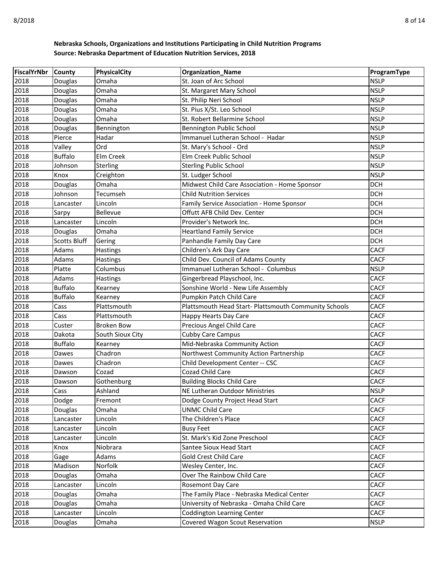| <b>FiscalYrNbr</b> | <b>County</b>       | PhysicalCity      | <b>Organization_Name</b>                              | ProgramType |
|--------------------|---------------------|-------------------|-------------------------------------------------------|-------------|
| 2018               | Douglas             | Omaha             | St. Joan of Arc School                                | <b>NSLP</b> |
| 2018               | Douglas             | Omaha             | St. Margaret Mary School                              | <b>NSLP</b> |
| 2018               | Douglas             | Omaha             | St. Philip Neri School                                | <b>NSLP</b> |
| 2018               | Douglas             | Omaha             | St. Pius X/St. Leo School                             | <b>NSLP</b> |
| 2018               | Douglas             | Omaha             | St. Robert Bellarmine School                          | <b>NSLP</b> |
| 2018               | Douglas             | Bennington        | Bennington Public School                              | <b>NSLP</b> |
| 2018               | Pierce              | Hadar             | Immanuel Lutheran School - Hadar                      | <b>NSLP</b> |
| 2018               | Valley              | Ord               | St. Mary's School - Ord                               | <b>NSLP</b> |
| 2018               | <b>Buffalo</b>      | Elm Creek         | Elm Creek Public School                               | <b>NSLP</b> |
| 2018               | Johnson             | Sterling          | <b>Sterling Public School</b>                         | <b>NSLP</b> |
| 2018               | Knox                | Creighton         | St. Ludger School                                     | <b>NSLP</b> |
| 2018               | Douglas             | Omaha             | Midwest Child Care Association - Home Sponsor         | <b>DCH</b>  |
| 2018               | Johnson             | Tecumseh          | <b>Child Nutrition Services</b>                       | <b>DCH</b>  |
| 2018               | Lancaster           | Lincoln           | Family Service Association - Home Sponsor             | <b>DCH</b>  |
| 2018               | Sarpy               | Bellevue          | Offutt AFB Child Dev. Center                          | <b>DCH</b>  |
| 2018               | Lancaster           | Lincoln           | Provider's Network Inc.                               | <b>DCH</b>  |
| 2018               | Douglas             | Omaha             | <b>Heartland Family Service</b>                       | <b>DCH</b>  |
| 2018               | <b>Scotts Bluff</b> | Gering            | Panhandle Family Day Care                             | <b>DCH</b>  |
| 2018               | Adams               | Hastings          | Children's Ark Day Care                               | <b>CACF</b> |
| 2018               | Adams               | <b>Hastings</b>   | Child Dev. Council of Adams County                    | <b>CACF</b> |
| 2018               | Platte              | Columbus          | Immanuel Lutheran School - Columbus                   | <b>NSLP</b> |
| 2018               | Adams               | <b>Hastings</b>   | Gingerbread Playschool, Inc.                          | <b>CACF</b> |
| 2018               | <b>Buffalo</b>      | Kearney           | Sonshine World - New Life Assembly                    | <b>CACF</b> |
| 2018               | <b>Buffalo</b>      | Kearney           | Pumpkin Patch Child Care                              | <b>CACF</b> |
| 2018               | Cass                | Plattsmouth       | Plattsmouth Head Start- Plattsmouth Community Schools | <b>CACF</b> |
| 2018               | Cass                | Plattsmouth       | <b>Happy Hearts Day Care</b>                          | <b>CACF</b> |
| 2018               | Custer              | <b>Broken Bow</b> | Precious Angel Child Care                             | <b>CACF</b> |
| 2018               | Dakota              | South Sioux City  | <b>Cubby Care Campus</b>                              | <b>CACF</b> |
| 2018               | <b>Buffalo</b>      | Kearney           | Mid-Nebraska Community Action                         | <b>CACF</b> |
| 2018               | Dawes               | Chadron           | Northwest Community Action Partnership                | <b>CACF</b> |
| 2018               | Dawes               | Chadron           | Child Development Center -- CSC                       | <b>CACF</b> |
| 2018               | Dawson              | Cozad             | Cozad Child Care                                      | <b>CACF</b> |
| 2018               | Dawson              | Gothenburg        | <b>Building Blocks Child Care</b>                     | <b>CACF</b> |
| 2018               | Cass                | Ashland           | <b>INE Lutheran Outdoor Ministries</b>                | <b>NSLP</b> |
| 2018               | Dodge               | Fremont           | Dodge County Project Head Start                       | <b>CACF</b> |
| 2018               | Douglas             | Omaha             | <b>UNMC Child Care</b>                                | <b>CACF</b> |
| 2018               | Lancaster           | Lincoln           | The Children's Place                                  | CACF        |
| 2018               | Lancaster           | Lincoln           | <b>Busy Feet</b>                                      | <b>CACF</b> |
| 2018               | Lancaster           | Lincoln           | St. Mark's Kid Zone Preschool                         | <b>CACF</b> |
| 2018               | Knox                | Niobrara          | Santee Sioux Head Start                               | <b>CACF</b> |
| 2018               | Gage                | Adams             | <b>Gold Crest Child Care</b>                          | <b>CACF</b> |
| 2018               | Madison             | Norfolk           | Wesley Center, Inc.                                   | <b>CACF</b> |
| 2018               | Douglas             | Omaha             | Over The Rainbow Child Care                           | <b>CACF</b> |
| 2018               | Lancaster           | Lincoln           | Rosemont Day Care                                     | <b>CACF</b> |
| 2018               | Douglas             | Omaha             | The Family Place - Nebraska Medical Center            | <b>CACF</b> |
| 2018               | Douglas             | Omaha             | University of Nebraska - Omaha Child Care             | <b>CACF</b> |
| 2018               | Lancaster           | Lincoln           | Coddington Learning Center                            | <b>CACF</b> |
| 2018               | Douglas             | Omaha             | Covered Wagon Scout Reservation                       | <b>NSLP</b> |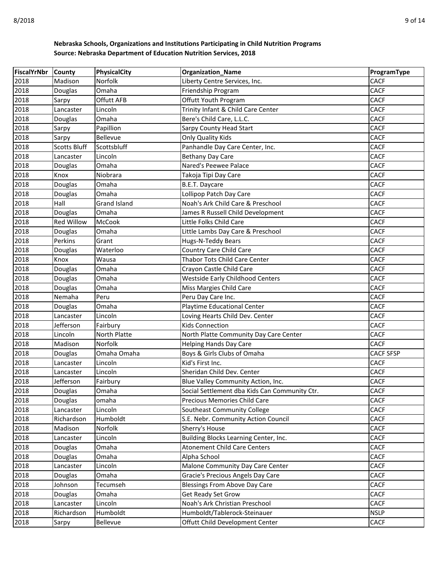| <b>FiscalYrNbr</b> | <b>County</b>        | PhysicalCity        | <b>Organization_Name</b>                                                            | ProgramType                |
|--------------------|----------------------|---------------------|-------------------------------------------------------------------------------------|----------------------------|
| 2018               | Madison              | <b>Norfolk</b>      | Liberty Centre Services, Inc.                                                       | <b>CACF</b>                |
| 2018               | Douglas              | Omaha               | Friendship Program                                                                  | <b>CACF</b>                |
| 2018               | Sarpy                | Offutt AFB          | Offutt Youth Program                                                                | <b>CACF</b>                |
| 2018               | Lancaster            | Lincoln             | Trinity Infant & Child Care Center                                                  | <b>CACF</b>                |
| 2018               | Douglas              | Omaha               | Bere's Child Care, L.L.C.                                                           | <b>CACF</b>                |
| 2018               | Sarpy                | Papillion           | <b>Sarpy County Head Start</b>                                                      | <b>CACF</b>                |
| 2018               | Sarpy                | Bellevue            | <b>Only Quality Kids</b>                                                            | <b>CACF</b>                |
| 2018               | <b>Scotts Bluff</b>  | Scottsbluff         | Panhandle Day Care Center, Inc.                                                     | <b>CACF</b>                |
| 2018               | Lancaster            | Lincoln             | Bethany Day Care                                                                    | <b>CACF</b>                |
| 2018               | Douglas              | Omaha               | Nared's Peewee Palace                                                               | <b>CACF</b>                |
| 2018               | Knox                 | Niobrara            | Takoja Tipi Day Care                                                                | <b>CACF</b>                |
| 2018               | Douglas              | Omaha               | B.E.T. Daycare                                                                      | <b>CACF</b>                |
| 2018               | Douglas              | Omaha               | Lollipop Patch Day Care                                                             | <b>CACF</b>                |
| 2018               | Hall                 | <b>Grand Island</b> | Noah's Ark Child Care & Preschool                                                   | <b>CACF</b>                |
| 2018               | Douglas              | Omaha               | James R Russell Child Development                                                   | <b>CACF</b>                |
| 2018               | <b>Red Willow</b>    | <b>McCook</b>       | Little Folks Child Care                                                             | <b>CACF</b>                |
| 2018               | Douglas              | Omaha               | Little Lambs Day Care & Preschool                                                   | <b>CACF</b>                |
| 2018               | Perkins              | Grant               | Hugs-N-Teddy Bears                                                                  | <b>CACF</b>                |
| 2018               | Douglas              | Waterloo            | Country Care Child Care                                                             | <b>CACF</b>                |
| 2018               | Knox                 | Wausa               | Thabor Tots Child Care Center                                                       | <b>CACF</b>                |
| 2018               | Douglas              | Omaha               | Crayon Castle Child Care                                                            | <b>CACF</b>                |
| 2018               | Douglas              | Omaha               | <b>Westside Early Childhood Centers</b>                                             | <b>CACF</b>                |
| 2018               | Douglas              | Omaha               | Miss Margies Child Care                                                             | <b>CACF</b>                |
| 2018               | Nemaha               | Peru                | Peru Day Care Inc.                                                                  | <b>CACF</b>                |
| 2018               | Douglas              | Omaha               | Playtime Educational Center                                                         | <b>CACF</b>                |
| 2018               | Lancaster            | Lincoln             | Loving Hearts Child Dev. Center                                                     | <b>CACF</b>                |
| 2018               | Jefferson            | Fairbury            | <b>Kids Connection</b>                                                              | <b>CACF</b>                |
| 2018               | Lincoln              | North Platte        | North Platte Community Day Care Center                                              | <b>CACF</b>                |
| 2018               | Madison              | Norfolk             | <b>Helping Hands Day Care</b>                                                       | <b>CACF</b>                |
| 2018               | Douglas              | Omaha Omaha         | Boys & Girls Clubs of Omaha                                                         | <b>CACF SFSP</b>           |
| 2018               | Lancaster            | Lincoln             | Kid's First Inc.                                                                    | <b>CACF</b>                |
| 2018               | Lancaster            | Lincoln             | Sheridan Child Dev. Center                                                          | <b>CACF</b>                |
| 2018<br>2018       | Jefferson<br>Douglas | Fairbury            | Blue Valley Community Action, Inc.<br>Social Settlement dba Kids Can Community Ctr. | <b>CACF</b><br><b>CACF</b> |
| 2018               | Douglas              | Omaha<br>omaha      | Precious Memories Child Care                                                        | <b>CACF</b>                |
| 2018               | Lancaster            | Lincoln             | Southeast Community College                                                         | <b>CACF</b>                |
| 2018               | Richardson           | Humboldt            | S.E. Nebr. Community Action Council                                                 | <b>CACF</b>                |
| 2018               | Madison              | Norfolk             | Sherry's House                                                                      | <b>CACF</b>                |
| 2018               | Lancaster            | Lincoln             | Building Blocks Learning Center, Inc.                                               | <b>CACF</b>                |
| 2018               | Douglas              | Omaha               | <b>Atonement Child Care Centers</b>                                                 | <b>CACF</b>                |
| 2018               | Douglas              | Omaha               | Alpha School                                                                        | <b>CACF</b>                |
| 2018               | Lancaster            | Lincoln             | Malone Community Day Care Center                                                    | <b>CACF</b>                |
| 2018               | Douglas              | Omaha               | Gracie's Precious Angels Day Care                                                   | <b>CACF</b>                |
| 2018               | Johnson              | Tecumseh            | <b>Blessings From Above Day Care</b>                                                | <b>CACF</b>                |
| 2018               | Douglas              | Omaha               | Get Ready Set Grow                                                                  | <b>CACF</b>                |
| 2018               | Lancaster            | Lincoln             | Noah's Ark Christian Preschool                                                      | <b>CACF</b>                |
| 2018               | Richardson           | Humboldt            | Humboldt/Tablerock-Steinauer                                                        | <b>NSLP</b>                |
| 2018               | Sarpy                | Bellevue            | Offutt Child Development Center                                                     | <b>CACF</b>                |
|                    |                      |                     |                                                                                     |                            |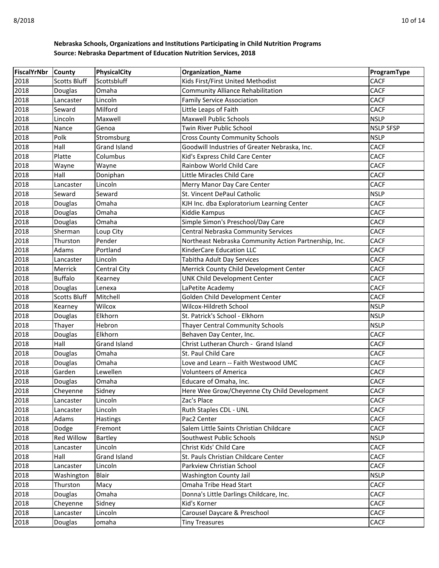| <b>FiscalYrNbr</b> | <b>County</b>       | <b>PhysicalCity</b> | <b>Organization Name</b>                              | ProgramType                |
|--------------------|---------------------|---------------------|-------------------------------------------------------|----------------------------|
| 2018               | <b>Scotts Bluff</b> | Scottsbluff         | Kids First/First United Methodist                     | <b>CACF</b>                |
| 2018               | Douglas             | Omaha               | <b>Community Alliance Rehabilitation</b>              | <b>CACF</b>                |
| 2018               | Lancaster           | Lincoln             | <b>Family Service Association</b>                     | <b>CACF</b>                |
| 2018               | Seward              | Milford             | Little Leaps of Faith                                 | <b>CACF</b>                |
| 2018               | Lincoln             | Maxwell             | <b>Maxwell Public Schools</b>                         | <b>NSLP</b>                |
| 2018               | Nance               | Genoa               | Twin River Public School                              | <b>NSLP SFSP</b>           |
| 2018               | Polk                | Stromsburg          | <b>Cross County Community Schools</b>                 | <b>NSLP</b>                |
| 2018               | Hall                | <b>Grand Island</b> | Goodwill Industries of Greater Nebraska, Inc.         | <b>CACF</b>                |
| 2018               | Platte              | Columbus            | Kid's Express Child Care Center                       | <b>CACF</b>                |
| 2018               | Wayne               | Wayne               | Rainbow World Child Care                              | <b>CACF</b>                |
| 2018               | Hall                | Doniphan            | Little Miracles Child Care                            | <b>CACF</b>                |
| 2018               | Lancaster           | Lincoln             | Merry Manor Day Care Center                           | <b>CACF</b>                |
| 2018               | Seward              | Seward              | St. Vincent DePaul Catholic                           | <b>NSLP</b>                |
| 2018               | Douglas             | Omaha               | KJH Inc. dba Exploratorium Learning Center            | <b>CACF</b>                |
| 2018               | Douglas             | Omaha               | Kiddie Kampus                                         | <b>CACF</b>                |
| 2018               | Douglas             | Omaha               | Simple Simon's Preschool/Day Care                     | <b>CACF</b>                |
| 2018               | Sherman             | Loup City           | Central Nebraska Community Services                   | <b>CACF</b>                |
| 2018               | Thurston            | Pender              | Northeast Nebraska Community Action Partnership, Inc. | <b>CACF</b>                |
| 2018               | Adams               | Portland            | <b>KinderCare Education LLC</b>                       | <b>CACF</b>                |
| 2018               | Lancaster           | Lincoln             | Tabitha Adult Day Services                            | <b>CACF</b>                |
| 2018               | Merrick             | Central City        | Merrick County Child Development Center               | <b>CACF</b>                |
| 2018               | <b>Buffalo</b>      | Kearney             | UNK Child Development Center                          | <b>CACF</b>                |
| 2018               | Douglas             | Lenexa              | LaPetite Academy                                      | <b>CACF</b>                |
| 2018               | Scotts Bluff        | Mitchell            | Golden Child Development Center                       | <b>CACF</b>                |
| 2018               | Kearney             | Wilcox              | Wilcox-Hildreth School                                | <b>NSLP</b>                |
| 2018               | Douglas             | Elkhorn             | St. Patrick's School - Elkhorn                        | <b>NSLP</b>                |
| 2018               | Thayer              | Hebron              | Thayer Central Community Schools                      | <b>NSLP</b>                |
| 2018               | Douglas             | Elkhorn             | Behaven Day Center, Inc.                              | <b>CACF</b>                |
| 2018               | Hall                | Grand Island        | Christ Lutheran Church - Grand Island                 | <b>CACF</b>                |
| 2018               | Douglas             | Omaha               | St. Paul Child Care                                   | <b>CACF</b>                |
| 2018               | Douglas             | Omaha               | Love and Learn -- Faith Westwood UMC                  | <b>CACF</b>                |
| 2018               | Garden              | Lewellen            | <b>Volunteers of America</b>                          | <b>CACF</b>                |
| 2018               | Douglas             | Omaha               | Educare of Omaha, Inc.                                | <b>CACF</b>                |
| 2018               | Cheyenne            | Sidney              | Here Wee Grow/Cheyenne Cty Child Development          | <b>CACF</b>                |
| 2018               | Lancaster           | Lincoln             | Zac's Place                                           | <b>CACF</b>                |
| 2018               | Lancaster           | Lincoln             | Ruth Staples CDL - UNL                                | <b>CACF</b>                |
| 2018               | Adams               | <b>Hastings</b>     | Pac2 Center                                           | <b>CACF</b>                |
| 2018               | Dodge               | Fremont             | Salem Little Saints Christian Childcare               | CACF                       |
| 2018               | Red Willow          | Bartley             | Southwest Public Schools                              | <b>NSLP</b>                |
| 2018               | Lancaster           | Lincoln             | Christ Kids' Child Care                               | <b>CACF</b>                |
| 2018               | Hall                | Grand Island        | St. Pauls Christian Childcare Center                  | <b>CACF</b><br><b>CACF</b> |
| 2018               | Lancaster           | Lincoln             | Parkview Christian School                             |                            |
| 2018               | Washington          | Blair               | Washington County Jail                                | <b>NSLP</b>                |
| 2018               | Thurston            | Macy                | Omaha Tribe Head Start                                | CACF                       |
| 2018               | Douglas             | Omaha               | Donna's Little Darlings Childcare, Inc.               | <b>CACF</b>                |
| 2018               | Cheyenne            | Sidney              | Kid's Korner                                          | <b>CACF</b>                |
| 2018               | Lancaster           | Lincoln             | Carousel Daycare & Preschool                          | <b>CACF</b>                |
| 2018               | Douglas             | omaha               | <b>Tiny Treasures</b>                                 | CACF                       |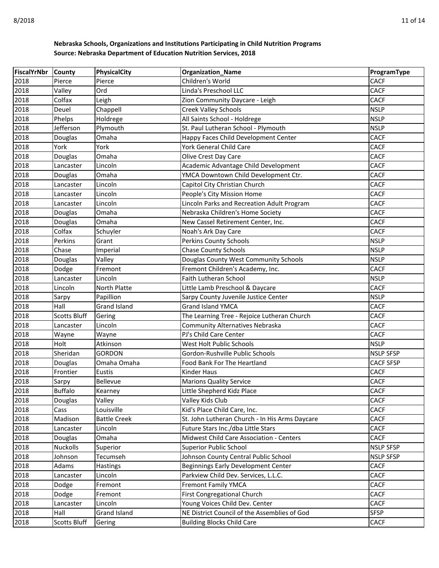| FiscalYrNbr  | County              | PhysicalCity         | <b>Organization_Name</b>                                                    | ProgramType              |
|--------------|---------------------|----------------------|-----------------------------------------------------------------------------|--------------------------|
| 2018         | Pierce              | Pierce               | Children's World                                                            | <b>CACF</b>              |
| 2018         | Valley              | Ord                  | Linda's Preschool LLC                                                       | <b>CACF</b>              |
| 2018         | Colfax              | Leigh                | Zion Community Daycare - Leigh                                              | <b>CACF</b>              |
| 2018         | Deuel               | Chappell             | Creek Valley Schools                                                        | <b>NSLP</b>              |
| 2018         | Phelps              | Holdrege             | All Saints School - Holdrege                                                | <b>NSLP</b>              |
| 2018         | Jefferson           | Plymouth             | St. Paul Lutheran School - Plymouth                                         | <b>NSLP</b>              |
| 2018         | Douglas             | Omaha                | Happy Faces Child Development Center                                        | <b>CACF</b>              |
| 2018         | York                | York                 | York General Child Care                                                     | <b>CACF</b>              |
| 2018         | Douglas             | Omaha                | Olive Crest Day Care                                                        | <b>CACF</b>              |
| 2018         | Lancaster           | Lincoln              | Academic Advantage Child Development                                        | <b>CACF</b>              |
| 2018         | Douglas             | Omaha                | YMCA Downtown Child Development Ctr.                                        | <b>CACF</b>              |
| 2018         | Lancaster           | Lincoln              | Capitol City Christian Church                                               | <b>CACF</b>              |
| 2018         | Lancaster           | Lincoln              | People's City Mission Home                                                  | <b>CACF</b>              |
| 2018         | Lancaster           | Lincoln              | Lincoln Parks and Recreation Adult Program                                  | <b>CACF</b>              |
| 2018         | Douglas             | Omaha                | Nebraska Children's Home Society                                            | <b>CACF</b>              |
| 2018         | Douglas             | Omaha                | New Cassel Retirement Center, Inc.                                          | <b>CACF</b>              |
| 2018         | Colfax              | Schuyler             | Noah's Ark Day Care                                                         | <b>CACF</b>              |
| 2018         | Perkins             | Grant                | Perkins County Schools                                                      | <b>NSLP</b>              |
| 2018         | Chase               | Imperial             | <b>Chase County Schools</b>                                                 | <b>NSLP</b>              |
| 2018         | Douglas             | Valley               | Douglas County West Community Schools                                       | <b>NSLP</b>              |
| 2018         | Dodge               | Fremont              | Fremont Children's Academy, Inc.                                            | <b>CACF</b>              |
| 2018         | Lancaster           | Lincoln              | Faith Lutheran School                                                       | <b>NSLP</b>              |
| 2018         | Lincoln             | North Platte         | Little Lamb Preschool & Daycare                                             | <b>CACF</b>              |
| 2018         | Sarpy               | Papillion            | Sarpy County Juvenile Justice Center                                        | <b>NSLP</b>              |
| 2018         | Hall                | <b>Grand Island</b>  | <b>Grand Island YMCA</b>                                                    | <b>CACF</b>              |
| 2018         | Scotts Bluff        | Gering               | The Learning Tree - Rejoice Lutheran Church                                 | <b>CACF</b>              |
| 2018         | Lancaster           | Lincoln              | Community Alternatives Nebraska                                             | <b>CACF</b>              |
| 2018         | Wayne               | Wayne                | PJ's Child Care Center                                                      | <b>CACF</b>              |
| 2018         | Holt                | Atkinson             | West Holt Public Schools                                                    | <b>NSLP</b>              |
| 2018         | Sheridan            | <b>GORDON</b>        | Gordon-Rushville Public Schools                                             | <b>NSLP SFSP</b>         |
| 2018         | Douglas             | Omaha Omaha          | Food Bank For The Heartland                                                 | <b>CACF SFSP</b>         |
| 2018         | Frontier            | Eustis               | Kinder Haus                                                                 | <b>CACF</b>              |
| 2018         | Sarpy               | Bellevue             | <b>Marions Quality Service</b>                                              | <b>CACF</b>              |
| 2018         | <b>Buffalo</b>      | Kearney              | Little Shepherd Kidz Place                                                  | <b>CACF</b>              |
| 2018         | Douglas             | Valley               | Valley Kids Club                                                            | <b>CACF</b>              |
| 2018         | Cass                | Louisville           | Kid's Place Child Care, Inc.                                                | <b>CACF</b>              |
| 2018         | Madison             | <b>Battle Creek</b>  | St. John Lutheran Church - In His Arms Daycare                              | <b>CACF</b>              |
| 2018         | Lancaster           | Lincoln              | Future Stars Inc./dba Little Stars                                          | CACF                     |
| 2018         | Douglas             | Omaha                | Midwest Child Care Association - Centers                                    | <b>CACF</b>              |
| 2018         | Nuckolls            | Superior             | <b>Superior Public School</b>                                               | <b>NSLP SFSP</b>         |
| 2018<br>2018 | Johnson<br>Adams    | Tecumseh<br>Hastings | Johnson County Central Public School<br>Beginnings Early Development Center | NSLP SFSP<br><b>CACF</b> |
| 2018         |                     |                      | Parkview Child Dev. Services, L.L.C.                                        | CACF                     |
| 2018         | Lancaster           | Lincoln              | <b>Fremont Family YMCA</b>                                                  | CACF                     |
| 2018         | Dodge               | Fremont              | First Congregational Church                                                 | <b>CACF</b>              |
| 2018         | Dodge<br>Lancaster  | Fremont<br>Lincoln   | Young Voices Child Dev. Center                                              | <b>CACF</b>              |
| 2018         | Hall                | Grand Island         | NE District Council of the Assemblies of God                                | <b>SFSP</b>              |
| 2018         | <b>Scotts Bluff</b> |                      |                                                                             | CACF                     |
|              |                     | Gering               | <b>Building Blocks Child Care</b>                                           |                          |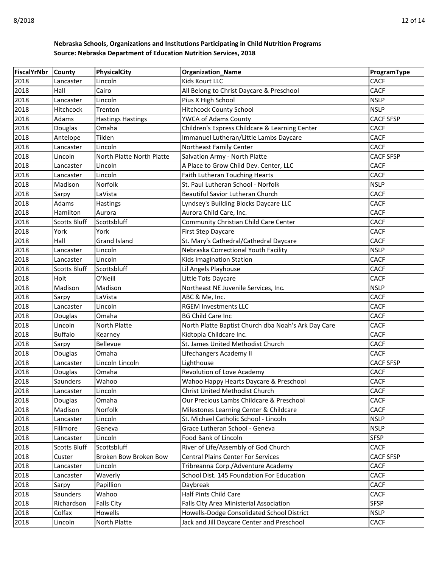| FiscalYrNbr | <b>County</b>       | <b>PhysicalCity</b>       | <b>Organization_Name</b>                            | ProgramType      |
|-------------|---------------------|---------------------------|-----------------------------------------------------|------------------|
| 2018        | Lancaster           | Lincoln                   | Kids Kourt LLC                                      | <b>CACF</b>      |
| 2018        | Hall                | Cairo                     | All Belong to Christ Daycare & Preschool            | <b>CACF</b>      |
| 2018        | Lancaster           | Lincoln                   | Pius X High School                                  | <b>NSLP</b>      |
| 2018        | <b>Hitchcock</b>    | Trenton                   | <b>Hitchcock County School</b>                      | <b>NSLP</b>      |
| 2018        | Adams               | <b>Hastings Hastings</b>  | YWCA of Adams County                                | <b>CACF SFSP</b> |
| 2018        | Douglas             | Omaha                     | Children's Express Childcare & Learning Center      | <b>CACF</b>      |
| 2018        | Antelope            | Tilden                    | Immanuel Lutheran/Little Lambs Daycare              | <b>CACF</b>      |
| 2018        | Lancaster           | Lincoln                   | Northeast Family Center                             | <b>CACF</b>      |
| 2018        | Lincoln             | North Platte North Platte | Salvation Army - North Platte                       | <b>CACF SFSP</b> |
| 2018        | Lancaster           | Lincoln                   | A Place to Grow Child Dev. Center, LLC              | <b>CACF</b>      |
| 2018        | Lancaster           | Lincoln                   | Faith Lutheran Touching Hearts                      | <b>CACF</b>      |
| 2018        | Madison             | Norfolk                   | St. Paul Lutheran School - Norfolk                  | <b>NSLP</b>      |
| 2018        | Sarpy               | LaVista                   | Beautiful Savior Lutheran Church                    | <b>CACF</b>      |
| 2018        | Adams               | Hastings                  | Lyndsey's Building Blocks Daycare LLC               | <b>CACF</b>      |
| 2018        | Hamilton            | Aurora                    | Aurora Child Care, Inc.                             | <b>CACF</b>      |
| 2018        | <b>Scotts Bluff</b> | Scottsbluff               | Community Christian Child Care Center               | <b>CACF</b>      |
| 2018        | York                | York                      | First Step Daycare                                  | <b>CACF</b>      |
| 2018        | Hall                | Grand Island              | St. Mary's Cathedral/Cathedral Daycare              | <b>CACF</b>      |
| 2018        | Lancaster           | Lincoln                   | Nebraska Correctional Youth Facility                | <b>NSLP</b>      |
| 2018        | Lancaster           | Lincoln                   | Kids Imagination Station                            | <b>CACF</b>      |
| 2018        | <b>Scotts Bluff</b> | Scottsbluff               | Lil Angels Playhouse                                | <b>CACF</b>      |
| 2018        | Holt                | O'Neill                   | Little Tots Daycare                                 | <b>CACF</b>      |
| 2018        | Madison             | Madison                   | Northeast NE Juvenile Services, Inc.                | <b>NSLP</b>      |
| 2018        | Sarpy               | LaVista                   | ABC & Me, Inc.                                      | <b>CACF</b>      |
| 2018        | Lancaster           | Lincoln                   | <b>RGEM Investments LLC</b>                         | <b>CACF</b>      |
| 2018        | Douglas             | Omaha                     | <b>BG Child Care Inc</b>                            | <b>CACF</b>      |
| 2018        | Lincoln             | North Platte              | North Platte Baptist Church dba Noah's Ark Day Care | <b>CACF</b>      |
| 2018        | <b>Buffalo</b>      | Kearney                   | Kidtopia Childcare Inc.                             | <b>CACF</b>      |
| 2018        | Sarpy               | Bellevue                  | St. James United Methodist Church                   | <b>CACF</b>      |
| 2018        | Douglas             | Omaha                     | Lifechangers Academy II                             | <b>CACF</b>      |
| 2018        | Lancaster           | Lincoln Lincoln           | Lighthouse                                          | <b>CACF SFSP</b> |
| 2018        | Douglas             | Omaha                     | Revolution of Love Academy                          | <b>CACF</b>      |
| 2018        | Saunders            | Wahoo                     | Wahoo Happy Hearts Daycare & Preschool              | <b>CACF</b>      |
| 2018        | Lancaster           | Lincoln                   | Christ United Methodist Church                      | <b>CACF</b>      |
| 2018        | Douglas             | Omaha                     | Our Precious Lambs Childcare & Preschool            | <b>CACF</b>      |
| 2018        | Madison             | Norfolk                   | Milestones Learning Center & Childcare              | <b>CACF</b>      |
| 2018        | Lancaster           | Lincoln                   | St. Michael Catholic School - Lincoln               | <b>NSLP</b>      |
| 2018        | Fillmore            | Geneva                    | Grace Lutheran School - Geneva                      | <b>NSLP</b>      |
| 2018        | Lancaster           | Lincoln                   | Food Bank of Lincoln                                | <b>SFSP</b>      |
| 2018        | <b>Scotts Bluff</b> | Scottsbluff               | River of Life/Assembly of God Church                | <b>CACF</b>      |
| 2018        | Custer              | Broken Bow Broken Bow     | <b>Central Plains Center For Services</b>           | <b>CACF SFSP</b> |
| 2018        | Lancaster           | Lincoln                   | Tribreanna Corp./Adventure Academy                  | <b>CACF</b>      |
| 2018        | Lancaster           | Waverly                   | School Dist. 145 Foundation For Education           | <b>CACF</b>      |
| 2018        | Sarpy               | Papillion                 | Daybreak                                            | <b>CACF</b>      |
| 2018        | Saunders            | Wahoo                     | Half Pints Child Care                               | CACF             |
| 2018        | Richardson          | <b>Falls City</b>         | Falls City Area Ministerial Association             | <b>SFSP</b>      |
| 2018        | Colfax              | Howells                   | Howells-Dodge Consolidated School District          | <b>NSLP</b>      |
| 2018        | Lincoln             | North Platte              | Jack and Jill Daycare Center and Preschool          | CACF             |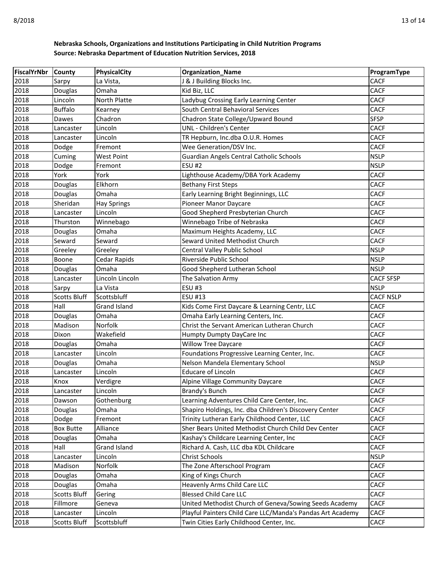| FiscalYrNbr | <b>County</b>       | <b>PhysicalCity</b> | <b>Organization_Name</b>                                   | ProgramType      |
|-------------|---------------------|---------------------|------------------------------------------------------------|------------------|
| 2018        | Sarpy               | La Vista,           | J & J Building Blocks Inc.                                 | <b>CACF</b>      |
| 2018        | Douglas             | Omaha               | Kid Biz, LLC                                               | <b>CACF</b>      |
| 2018        | Lincoln             | North Platte        | Ladybug Crossing Early Learning Center                     | <b>CACF</b>      |
| 2018        | <b>Buffalo</b>      | Kearney             | South Central Behavioral Services                          | <b>CACF</b>      |
| 2018        | Dawes               | Chadron             | Chadron State College/Upward Bound                         | <b>SFSP</b>      |
| 2018        | Lancaster           | Lincoln             | UNL - Children's Center                                    | <b>CACF</b>      |
| 2018        | Lancaster           | Lincoln             | TR Hepburn, Inc.dba O.U.R. Homes                           | <b>CACF</b>      |
| 2018        | Dodge               | Fremont             | Wee Generation/DSV Inc.                                    | <b>CACF</b>      |
| 2018        | Cuming              | <b>West Point</b>   | Guardian Angels Central Catholic Schools                   | <b>NSLP</b>      |
| 2018        | Dodge               | Fremont             | <b>ESU #2</b>                                              | <b>NSLP</b>      |
| 2018        | York                | York                | Lighthouse Academy/DBA York Academy                        | <b>CACF</b>      |
| 2018        | Douglas             | Elkhorn             | <b>Bethany First Steps</b>                                 | <b>CACF</b>      |
| 2018        | Douglas             | Omaha               | Early Learning Bright Beginnings, LLC                      | <b>CACF</b>      |
| 2018        | Sheridan            | <b>Hay Springs</b>  | Pioneer Manor Daycare                                      | <b>CACF</b>      |
| 2018        | Lancaster           | Lincoln             | Good Shepherd Presbyterian Church                          | <b>CACF</b>      |
| 2018        | Thurston            | Winnebago           | Winnebago Tribe of Nebraska                                | <b>CACF</b>      |
| 2018        | Douglas             | Omaha               | Maximum Heights Academy, LLC                               | <b>CACF</b>      |
| 2018        | Seward              | Seward              | Seward United Methodist Church                             | <b>CACF</b>      |
| 2018        | Greeley             | Greeley             | Central Valley Public School                               | <b>NSLP</b>      |
| 2018        | Boone               | Cedar Rapids        | Riverside Public School                                    | <b>NSLP</b>      |
| 2018        | Douglas             | Omaha               | Good Shepherd Lutheran School                              | <b>NSLP</b>      |
| 2018        | Lancaster           | Lincoln Lincoln     | The Salvation Army                                         | <b>CACF SFSP</b> |
| 2018        | Sarpy               | La Vista            | <b>ESU #3</b>                                              | <b>NSLP</b>      |
| 2018        | <b>Scotts Bluff</b> | Scottsbluff         | ESU #13                                                    | <b>CACF NSLP</b> |
| 2018        | Hall                | Grand Island        | Kids Come First Daycare & Learning Centr, LLC              | <b>CACF</b>      |
| 2018        | Douglas             | Omaha               | Omaha Early Learning Centers, Inc.                         | <b>CACF</b>      |
| 2018        | Madison             | Norfolk             | Christ the Servant American Lutheran Church                | <b>CACF</b>      |
| 2018        | Dixon               | Wakefield           | Humpty Dumpty DayCare Inc                                  | <b>CACF</b>      |
| 2018        | Douglas             | Omaha               | <b>Willow Tree Daycare</b>                                 | <b>CACF</b>      |
| 2018        | Lancaster           | Lincoln             | Foundations Progressive Learning Center, Inc.              | <b>CACF</b>      |
| 2018        | Douglas             | Omaha               | Nelson Mandela Elementary School                           | <b>NSLP</b>      |
| 2018        | Lancaster           | Lincoln             | <b>Educare of Lincoln</b>                                  | <b>CACF</b>      |
| 2018        | Knox                | Verdigre            | Alpine Village Community Daycare                           | <b>CACF</b>      |
| 2018        | Lancaster           | Lincoln             | Brandy's Bunch                                             | <b>CACF</b>      |
| 2018        | Dawson              | Gothenburg          | Learning Adventures Child Care Center, Inc.                | <b>CACF</b>      |
| 2018        | Douglas             | Omaha               | Shapiro Holdings, Inc. dba Children's Discovery Center     | <b>CACF</b>      |
| 2018        | Dodge               | Fremont             | Trinity Lutheran Early Childhood Center, LLC               | <b>CACF</b>      |
| 2018        | <b>Box Butte</b>    | Alliance            | Sher Bears United Methodist Church Child Dev Center        | CACF             |
| 2018        | Douglas             | Omaha               | Kashay's Childcare Learning Center, Inc                    | <b>CACF</b>      |
| 2018        | Hall                | <b>Grand Island</b> | Richard A. Cash, LLC dba KDL Childcare                     | <b>CACF</b>      |
| 2018        | Lancaster           | Lincoln             | <b>Christ Schools</b>                                      | <b>NSLP</b>      |
| 2018        | Madison             | Norfolk             | The Zone Afterschool Program                               | <b>CACF</b>      |
| 2018        | Douglas             | Omaha               | King of Kings Church                                       | <b>CACF</b>      |
| 2018        | Douglas             | Omaha               | Heavenly Arms Child Care LLC                               | <b>CACF</b>      |
| 2018        | <b>Scotts Bluff</b> | Gering              | <b>Blessed Child Care LLC</b>                              | <b>CACF</b>      |
| 2018        | Fillmore            | Geneva              | United Methodist Church of Geneva/Sowing Seeds Academy     | <b>CACF</b>      |
| 2018        | Lancaster           | Lincoln             | Playful Painters Child Care LLC/Manda's Pandas Art Academy | <b>CACF</b>      |
| 2018        | <b>Scotts Bluff</b> | Scottsbluff         | Twin Cities Early Childhood Center, Inc.                   | <b>CACF</b>      |